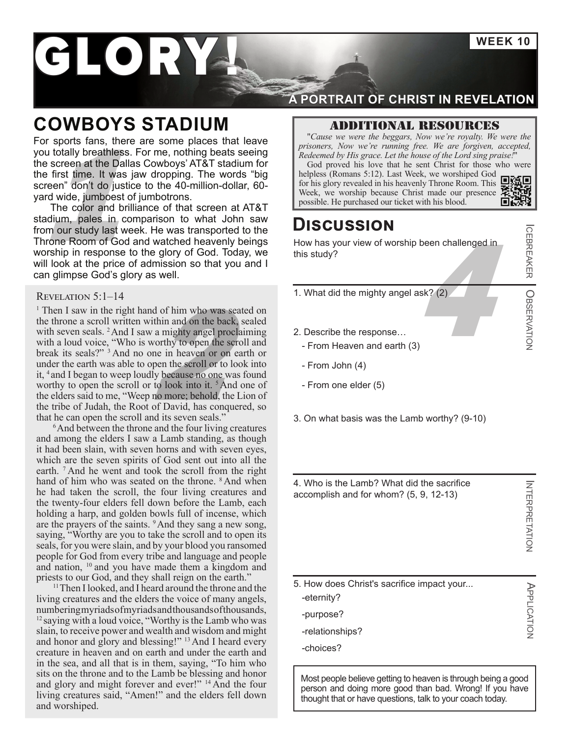**WEEK 10**

# GLORY**!**

# **COWBOYS STADIUM**

Notation and the Dallas Cowboys' AT&T stadium for<br>
e first time. It was jaw dropping. The words "big<br>
reen" don't do justice to the 40-million-dollar, 60-<br>
and wide, jumboest of jumbotrons.<br>
The color and brilliance of tha For sports fans, there are some places that leave you totally breathless. For me, nothing beats seeing the screen at the Dallas Cowboys' AT&T stadium for the first time. It was jaw dropping. The words "big screen" don't do justice to the 40-million-dollar, 60 yard wide, jumboest of jumbotrons.

The color and brilliance of that screen at AT&T stadium, pales in comparison to what John saw from our study last week. He was transported to the Throne Room of God and watched heavenly beings worship in response to the glory of God. Today, we will look at the price of admission so that you and I can glimpse God's glory as well.

#### Revelation 5:1–14

Example 2018<br>
Example 2019 of God. Today, we this study?<br>
This study?<br>
This study?<br>
This study?<br>
This study?<br>
This study?<br>
This study?<br>
This study?<br>
This study?<br>
This study?<br>
This study?<br>
This study?<br>
This study?<br>
This stu <sup>1</sup> Then I saw in the right hand of him who was seated on the throne a scroll written within and on the back, sealed with seven seals. <sup>2</sup>And I saw a mighty angel proclaiming with a loud voice, "Who is worthy to open the scroll and break its seals?" 3 And no one in heaven or on earth or under the earth was able to open the scroll or to look into it, 4 and I began to weep loudly because no one was found worthy to open the scroll or to look into it.  $5$  And one of the elders said to me, "Weep no more; behold, the Lion of the tribe of Judah, the Root of David, has conquered, so that he can open the scroll and its seven seals."

<sup>6</sup>And between the throne and the four living creatures and among the elders I saw a Lamb standing, as though it had been slain, with seven horns and with seven eyes, which are the seven spirits of God sent out into all the earth. <sup>7</sup> And he went and took the scroll from the right hand of him who was seated on the throne. <sup>8</sup> And when he had taken the scroll, the four living creatures and the twenty-four elders fell down before the Lamb, each holding a harp, and golden bowls full of incense, which are the prayers of the saints. 9And they sang a new song, saying, "Worthy are you to take the scroll and to open its seals, for you were slain, and by your blood you ransomed people for God from every tribe and language and people and nation, 10 and you have made them a kingdom and priests to our God, and they shall reign on the earth."

<sup>11</sup>Then I looked, and I heard around the throne and the living creatures and the elders the voice of many angels, numbering myriads of myriads and thousands of thousands,  $12$  saying with a loud voice, "Worthy is the Lamb who was slain, to receive power and wealth and wisdom and might and honor and glory and blessing!" <sup>13</sup> And I heard every creature in heaven and on earth and under the earth and in the sea, and all that is in them, saying, "To him who sits on the throne and to the Lamb be blessing and honor and glory and might forever and ever!" 14 And the four living creatures said, "Amen!" and the elders fell down and worshiped.

#### **A PORTRAIT OF CHRIST IN REVELATION**

Additional resources

"*Cause we were the beggars, Now we're royalty. We were the prisoners, Now we're running free. We are forgiven, accepted, Redeemed by His grace. Let the house of the Lord sing praise!*"

God proved his love that he sent Christ for those who were helpless (Romans 5:12). Last Week, we worshiped God for his glory revealed in his heavenly Throne Room. Thi[s](https://youtu.be/h8uKldEUrPE) 

# **Discussion**

How has your view of worship been challenged in this study?

- 1. What did the mighty angel ask? (2)
- 2. Describe the response…
	- From Heaven and earth (3)
	- From John (4)

-eternity? -purpose?

-choices?

-relationships?

- From one elder (5)
- 3. On what basis was the Lamb worthy? (9-10)

4. Who is the Lamb? What did the sacrifice accomplish and for whom? (5, 9, 12-13)

5. How does Christ's sacrifice impact your...

**INTERPRETATION** INTERPRETATION

ICEBREAKER | OBSERVATION

OBSERVATION

CEBREAKER

**APPLICATION** PPLICATION

Most people believe getting to heaven is through being a good person and doing more good than bad. Wrong! If you have thought that or have questions, talk to your coach today.